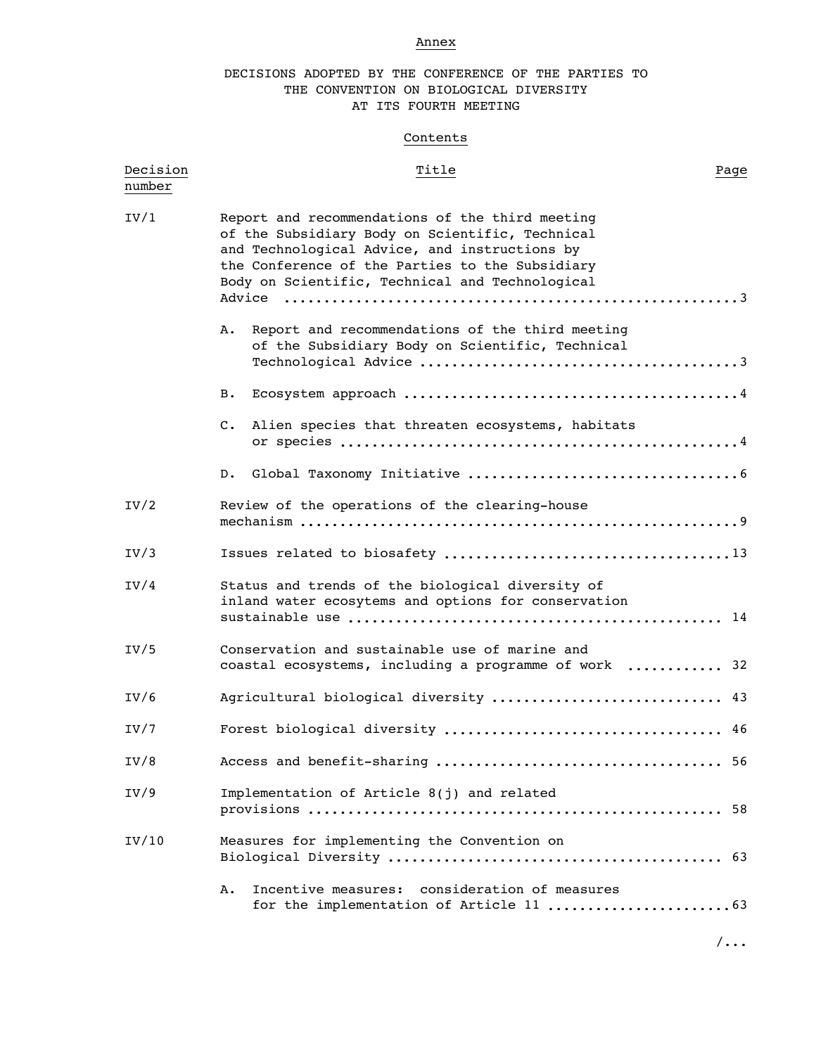# Annex

# DECISIONS ADOPTED BY THE CONFERENCE OF THE PARTIES TO THE CONVENTION ON BIOLOGICAL DIVERSITY AT ITS FOURTH MEETING

# **Contents**

| Decision<br>number | Title                                                                                                                                                                                                                                                     | Page |
|--------------------|-----------------------------------------------------------------------------------------------------------------------------------------------------------------------------------------------------------------------------------------------------------|------|
| IV/1               | Report and recommendations of the third meeting<br>of the Subsidiary Body on Scientific, Technical<br>and Technological Advice, and instructions by<br>the Conference of the Parties to the Subsidiary<br>Body on Scientific, Technical and Technological |      |
|                    | Report and recommendations of the third meeting<br>Α.<br>of the Subsidiary Body on Scientific, Technical                                                                                                                                                  |      |
|                    | в.                                                                                                                                                                                                                                                        |      |
|                    | $\mathsf{c}$ .<br>Alien species that threaten ecosystems, habitats                                                                                                                                                                                        |      |
|                    | D.                                                                                                                                                                                                                                                        |      |
| IV/2               | Review of the operations of the clearing-house                                                                                                                                                                                                            |      |
| IV/3               |                                                                                                                                                                                                                                                           |      |
| IV/4               | Status and trends of the biological diversity of<br>inland water ecosytems and options for conservation                                                                                                                                                   |      |
| IV/5               | Conservation and sustainable use of marine and<br>coastal ecosystems, including a programme of work  32                                                                                                                                                   |      |
| IV/6               | Agricultural biological diversity  43                                                                                                                                                                                                                     |      |
| IV/7               |                                                                                                                                                                                                                                                           |      |
| IV/8               |                                                                                                                                                                                                                                                           |      |
| IV/9               | Implementation of Article 8(j) and related                                                                                                                                                                                                                |      |
| IV/10              | Measures for implementing the Convention on                                                                                                                                                                                                               |      |
|                    | Incentive measures: consideration of measures<br>Α.                                                                                                                                                                                                       |      |

/...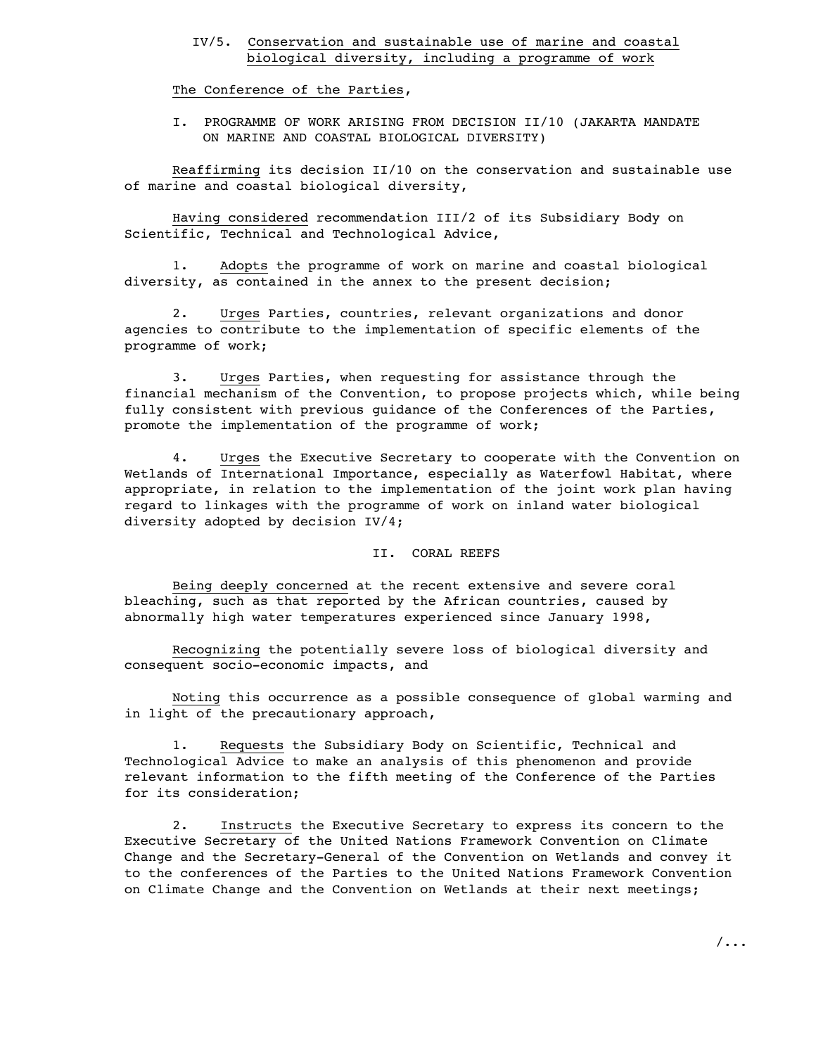# IV/5. Conservation and sustainable use of marine and coastal biological diversity, including a programme of work

The Conference of the Parties,

I. PROGRAMME OF WORK ARISING FROM DECISION II/10 (JAKARTA MANDATE ON MARINE AND COASTAL BIOLOGICAL DIVERSITY)

Reaffirming its decision II/10 on the conservation and sustainable use of marine and coastal biological diversity,

Having considered recommendation III/2 of its Subsidiary Body on Scientific, Technical and Technological Advice,

1. Adopts the programme of work on marine and coastal biological diversity, as contained in the annex to the present decision;

2. Urges Parties, countries, relevant organizations and donor agencies to contribute to the implementation of specific elements of the programme of work;

3. Urges Parties, when requesting for assistance through the financial mechanism of the Convention, to propose projects which, while being fully consistent with previous guidance of the Conferences of the Parties, promote the implementation of the programme of work;

4. Urges the Executive Secretary to cooperate with the Convention on Wetlands of International Importance, especially as Waterfowl Habitat, where appropriate, in relation to the implementation of the joint work plan having regard to linkages with the programme of work on inland water biological diversity adopted by decision IV/4;

#### II. CORAL REEFS

Being deeply concerned at the recent extensive and severe coral bleaching, such as that reported by the African countries, caused by abnormally high water temperatures experienced since January 1998,

Recognizing the potentially severe loss of biological diversity and consequent socio-economic impacts, and

Noting this occurrence as a possible consequence of global warming and in light of the precautionary approach,

1. Requests the Subsidiary Body on Scientific, Technical and Technological Advice to make an analysis of this phenomenon and provide relevant information to the fifth meeting of the Conference of the Parties for its consideration;

2. Instructs the Executive Secretary to express its concern to the Executive Secretary of the United Nations Framework Convention on Climate Change and the Secretary-General of the Convention on Wetlands and convey it to the conferences of the Parties to the United Nations Framework Convention on Climate Change and the Convention on Wetlands at their next meetings;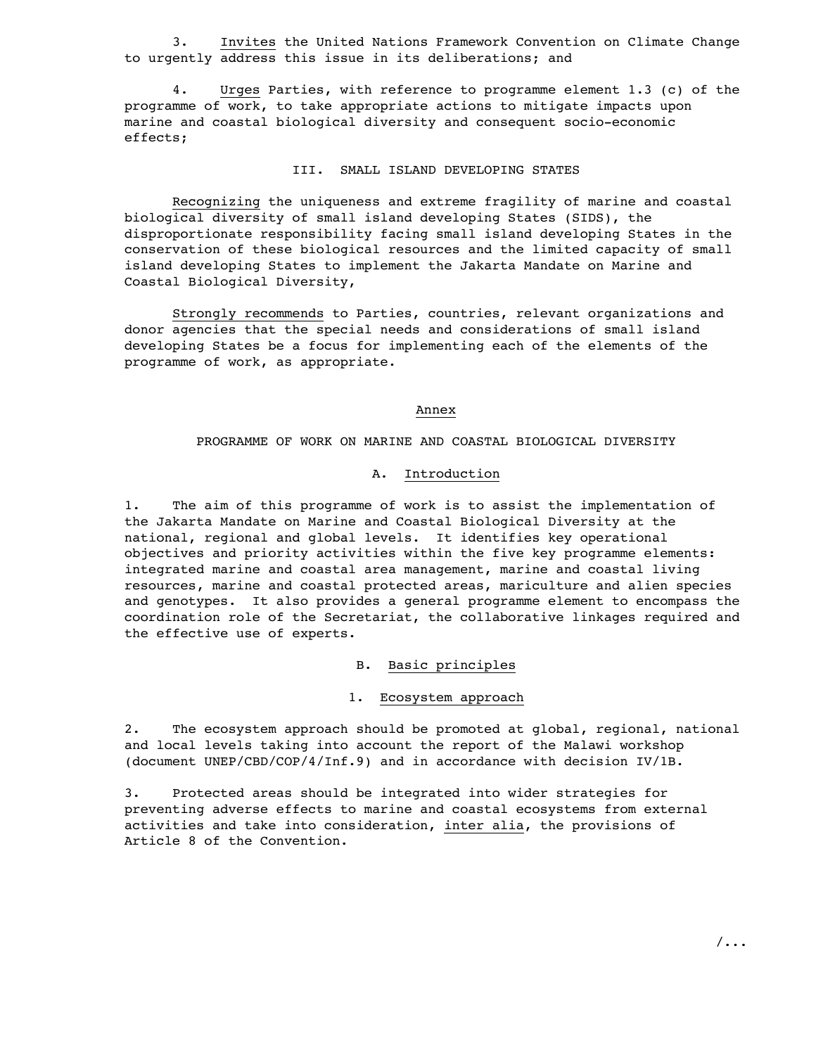3. Invites the United Nations Framework Convention on Climate Change to urgently address this issue in its deliberations; and

4. Urges Parties, with reference to programme element 1.3 (c) of the programme of work, to take appropriate actions to mitigate impacts upon marine and coastal biological diversity and consequent socio-economic effects;

# III. SMALL ISLAND DEVELOPING STATES

Recognizing the uniqueness and extreme fragility of marine and coastal biological diversity of small island developing States (SIDS), the disproportionate responsibility facing small island developing States in the conservation of these biological resources and the limited capacity of small island developing States to implement the Jakarta Mandate on Marine and Coastal Biological Diversity,

Strongly recommends to Parties, countries, relevant organizations and donor agencies that the special needs and considerations of small island developing States be a focus for implementing each of the elements of the programme of work, as appropriate.

Annex

PROGRAMME OF WORK ON MARINE AND COASTAL BIOLOGICAL DIVERSITY

#### A. Introduction

1. The aim of this programme of work is to assist the implementation of the Jakarta Mandate on Marine and Coastal Biological Diversity at the national, regional and global levels. It identifies key operational objectives and priority activities within the five key programme elements: integrated marine and coastal area management, marine and coastal living resources, marine and coastal protected areas, mariculture and alien species and genotypes. It also provides a general programme element to encompass the coordination role of the Secretariat, the collaborative linkages required and the effective use of experts.

B. Basic principles

# 1. Ecosystem approach

2. The ecosystem approach should be promoted at global, regional, national and local levels taking into account the report of the Malawi workshop (document UNEP/CBD/COP/4/Inf.9) and in accordance with decision IV/1B.

3. Protected areas should be integrated into wider strategies for preventing adverse effects to marine and coastal ecosystems from external activities and take into consideration, inter alia, the provisions of Article 8 of the Convention.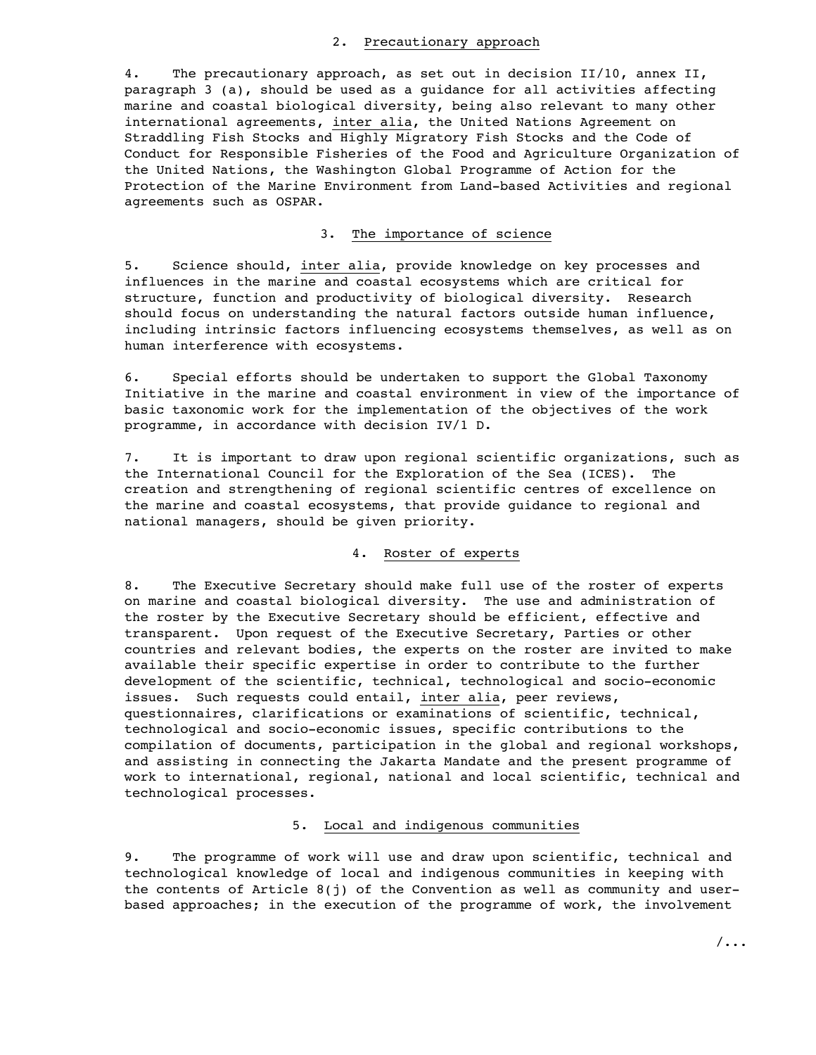### 2. Precautionary approach

4. The precautionary approach, as set out in decision II/10, annex II, paragraph 3 (a), should be used as a guidance for all activities affecting marine and coastal biological diversity, being also relevant to many other international agreements, inter alia, the United Nations Agreement on Straddling Fish Stocks and Highly Migratory Fish Stocks and the Code of Conduct for Responsible Fisheries of the Food and Agriculture Organization of the United Nations, the Washington Global Programme of Action for the Protection of the Marine Environment from Land-based Activities and regional agreements such as OSPAR.

# 3. The importance of science

5. Science should, inter alia, provide knowledge on key processes and influences in the marine and coastal ecosystems which are critical for structure, function and productivity of biological diversity. Research should focus on understanding the natural factors outside human influence, including intrinsic factors influencing ecosystems themselves, as well as on human interference with ecosystems.

6. Special efforts should be undertaken to support the Global Taxonomy Initiative in the marine and coastal environment in view of the importance of basic taxonomic work for the implementation of the objectives of the work programme, in accordance with decision IV/1 D.

7. It is important to draw upon regional scientific organizations, such as the International Council for the Exploration of the Sea (ICES). The creation and strengthening of regional scientific centres of excellence on the marine and coastal ecosystems, that provide guidance to regional and national managers, should be given priority.

# 4. Roster of experts

8. The Executive Secretary should make full use of the roster of experts on marine and coastal biological diversity. The use and administration of the roster by the Executive Secretary should be efficient, effective and transparent. Upon request of the Executive Secretary, Parties or other countries and relevant bodies, the experts on the roster are invited to make available their specific expertise in order to contribute to the further development of the scientific, technical, technological and socio-economic issues. Such requests could entail, inter alia, peer reviews, questionnaires, clarifications or examinations of scientific, technical, technological and socio-economic issues, specific contributions to the compilation of documents, participation in the global and regional workshops, and assisting in connecting the Jakarta Mandate and the present programme of work to international, regional, national and local scientific, technical and technological processes.

## 5. Local and indigenous communities

9. The programme of work will use and draw upon scientific, technical and technological knowledge of local and indigenous communities in keeping with the contents of Article  $8(i)$  of the Convention as well as community and userbased approaches; in the execution of the programme of work, the involvement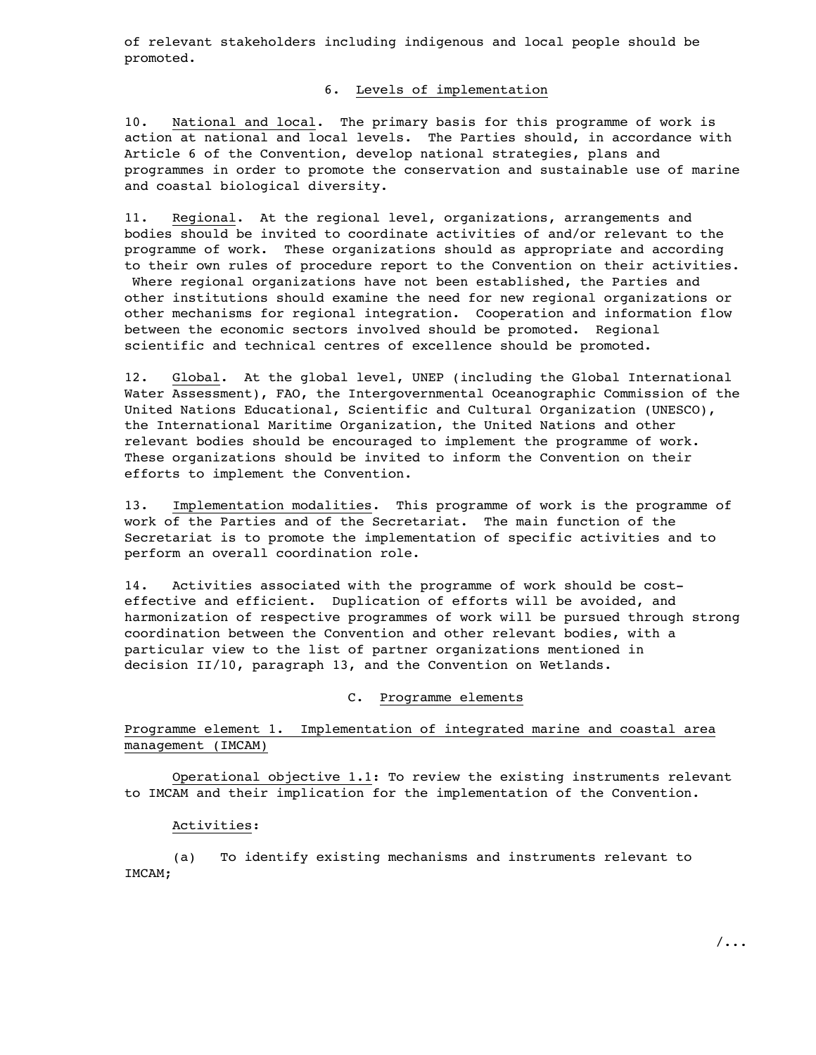of relevant stakeholders including indigenous and local people should be promoted.

# 6. Levels of implementation

10. National and local. The primary basis for this programme of work is action at national and local levels. The Parties should, in accordance with Article 6 of the Convention, develop national strategies, plans and programmes in order to promote the conservation and sustainable use of marine and coastal biological diversity.

11. Regional. At the regional level, organizations, arrangements and bodies should be invited to coordinate activities of and/or relevant to the programme of work. These organizations should as appropriate and according to their own rules of procedure report to the Convention on their activities. Where regional organizations have not been established, the Parties and other institutions should examine the need for new regional organizations or other mechanisms for regional integration. Cooperation and information flow between the economic sectors involved should be promoted. Regional scientific and technical centres of excellence should be promoted.

12. Global. At the global level, UNEP (including the Global International Water Assessment), FAO, the Intergovernmental Oceanographic Commission of the United Nations Educational, Scientific and Cultural Organization (UNESCO), the International Maritime Organization, the United Nations and other relevant bodies should be encouraged to implement the programme of work. These organizations should be invited to inform the Convention on their efforts to implement the Convention.

13. Implementation modalities. This programme of work is the programme of work of the Parties and of the Secretariat. The main function of the Secretariat is to promote the implementation of specific activities and to perform an overall coordination role.

14. Activities associated with the programme of work should be costeffective and efficient. Duplication of efforts will be avoided, and harmonization of respective programmes of work will be pursued through strong coordination between the Convention and other relevant bodies, with a particular view to the list of partner organizations mentioned in decision II/10, paragraph 13, and the Convention on Wetlands.

# C. Programme elements

# Programme element 1. Implementation of integrated marine and coastal area management (IMCAM)

Operational objective 1.1: To review the existing instruments relevant to IMCAM and their implication for the implementation of the Convention.

#### Activities:

(a) To identify existing mechanisms and instruments relevant to IMCAM;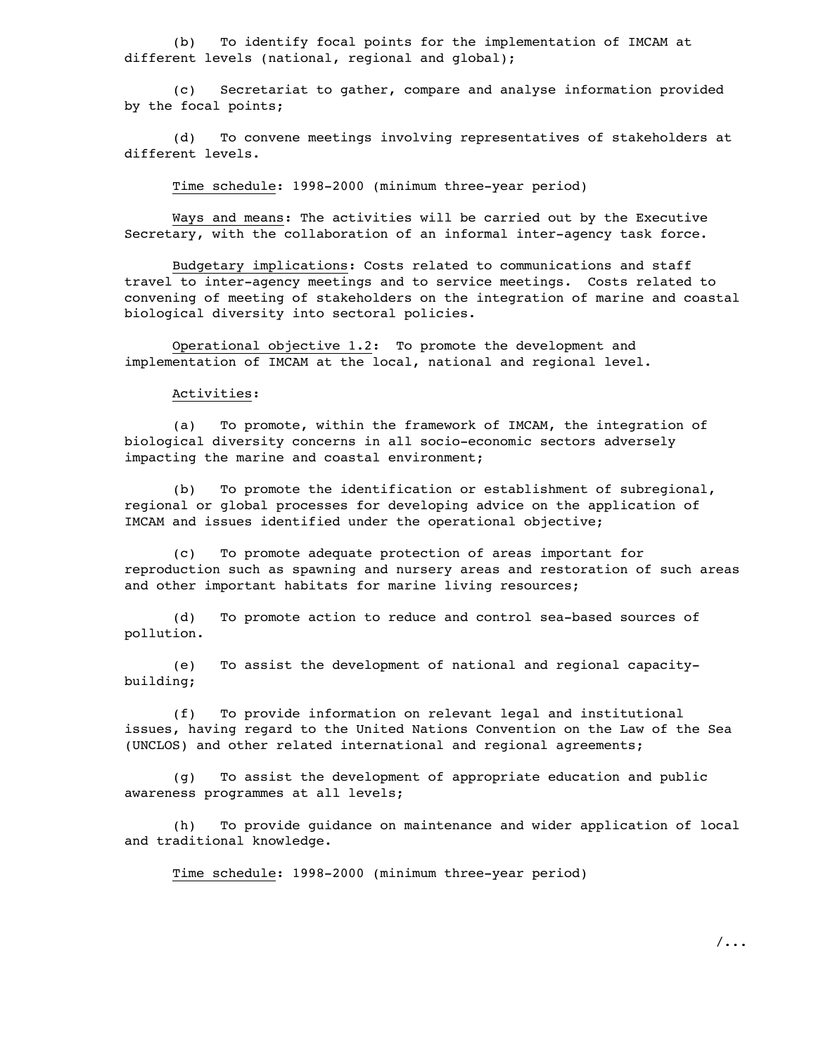(b) To identify focal points for the implementation of IMCAM at different levels (national, regional and global);

(c) Secretariat to gather, compare and analyse information provided by the focal points;

(d) To convene meetings involving representatives of stakeholders at different levels.

Time schedule: 1998-2000 (minimum three-year period)

Ways and means: The activities will be carried out by the Executive Secretary, with the collaboration of an informal inter-agency task force.

Budgetary implications: Costs related to communications and staff travel to inter-agency meetings and to service meetings. Costs related to convening of meeting of stakeholders on the integration of marine and coastal biological diversity into sectoral policies.

Operational objective 1.2: To promote the development and implementation of IMCAM at the local, national and regional level.

### Activities:

(a) To promote, within the framework of IMCAM, the integration of biological diversity concerns in all socio-economic sectors adversely impacting the marine and coastal environment;

(b) To promote the identification or establishment of subregional, regional or global processes for developing advice on the application of IMCAM and issues identified under the operational objective;

(c) To promote adequate protection of areas important for reproduction such as spawning and nursery areas and restoration of such areas and other important habitats for marine living resources;

(d) To promote action to reduce and control sea-based sources of pollution.

(e) To assist the development of national and regional capacitybuilding;

(f) To provide information on relevant legal and institutional issues, having regard to the United Nations Convention on the Law of the Sea (UNCLOS) and other related international and regional agreements;

(g) To assist the development of appropriate education and public awareness programmes at all levels;

(h) To provide guidance on maintenance and wider application of local and traditional knowledge.

Time schedule: 1998-2000 (minimum three-year period)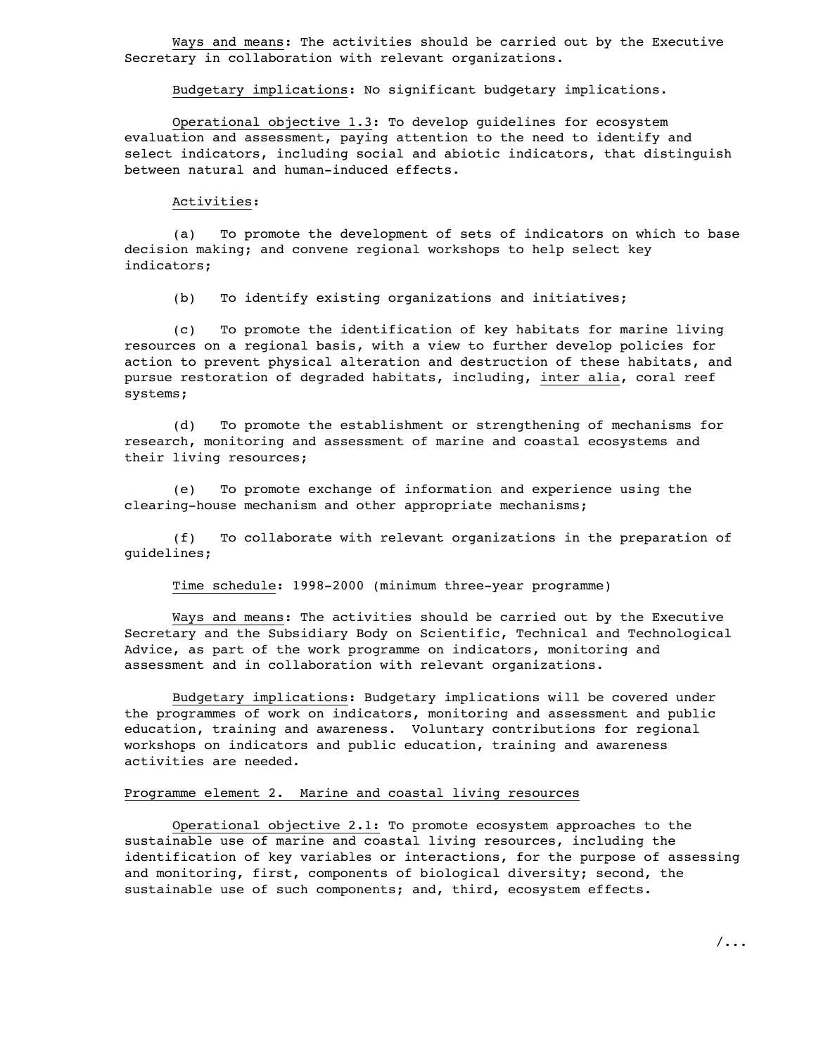Ways and means: The activities should be carried out by the Executive Secretary in collaboration with relevant organizations.

Budgetary implications: No significant budgetary implications.

Operational objective 1.3: To develop guidelines for ecosystem evaluation and assessment, paying attention to the need to identify and select indicators, including social and abiotic indicators, that distinguish between natural and human-induced effects.

### Activities:

(a) To promote the development of sets of indicators on which to base decision making; and convene regional workshops to help select key indicators;

(b) To identify existing organizations and initiatives;

(c) To promote the identification of key habitats for marine living resources on a regional basis, with a view to further develop policies for action to prevent physical alteration and destruction of these habitats, and pursue restoration of degraded habitats, including, inter alia, coral reef systems;

(d) To promote the establishment or strengthening of mechanisms for research, monitoring and assessment of marine and coastal ecosystems and their living resources;

(e) To promote exchange of information and experience using the clearing-house mechanism and other appropriate mechanisms;

(f) To collaborate with relevant organizations in the preparation of guidelines;

Time schedule: 1998-2000 (minimum three-year programme)

Ways and means: The activities should be carried out by the Executive Secretary and the Subsidiary Body on Scientific, Technical and Technological Advice, as part of the work programme on indicators, monitoring and assessment and in collaboration with relevant organizations.

Budgetary implications: Budgetary implications will be covered under the programmes of work on indicators, monitoring and assessment and public education, training and awareness. Voluntary contributions for regional workshops on indicators and public education, training and awareness activities are needed.

# Programme element 2. Marine and coastal living resources

Operational objective 2.1: To promote ecosystem approaches to the sustainable use of marine and coastal living resources, including the identification of key variables or interactions, for the purpose of assessing and monitoring, first, components of biological diversity; second, the sustainable use of such components; and, third, ecosystem effects.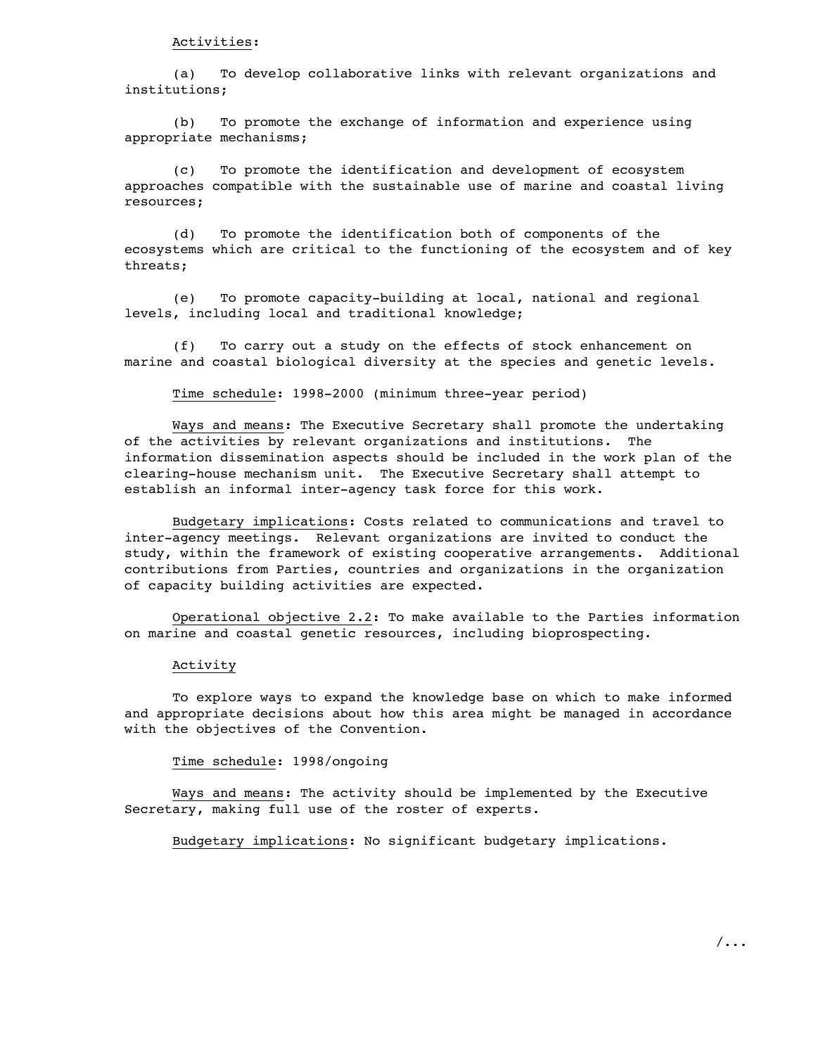(a) To develop collaborative links with relevant organizations and institutions;

(b) To promote the exchange of information and experience using appropriate mechanisms;

(c) To promote the identification and development of ecosystem approaches compatible with the sustainable use of marine and coastal living resources;

(d) To promote the identification both of components of the ecosystems which are critical to the functioning of the ecosystem and of key threats;

(e) To promote capacity-building at local, national and regional levels, including local and traditional knowledge;

(f) To carry out a study on the effects of stock enhancement on marine and coastal biological diversity at the species and genetic levels.

Time schedule: 1998-2000 (minimum three-year period)

Ways and means: The Executive Secretary shall promote the undertaking of the activities by relevant organizations and institutions. The information dissemination aspects should be included in the work plan of the clearing-house mechanism unit. The Executive Secretary shall attempt to establish an informal inter-agency task force for this work.

Budgetary implications: Costs related to communications and travel to inter-agency meetings. Relevant organizations are invited to conduct the study, within the framework of existing cooperative arrangements. Additional contributions from Parties, countries and organizations in the organization of capacity building activities are expected.

Operational objective 2.2: To make available to the Parties information on marine and coastal genetic resources, including bioprospecting.

# Activity

To explore ways to expand the knowledge base on which to make informed and appropriate decisions about how this area might be managed in accordance with the objectives of the Convention.

Time schedule: 1998/ongoing

Ways and means: The activity should be implemented by the Executive Secretary, making full use of the roster of experts.

Budgetary implications: No significant budgetary implications.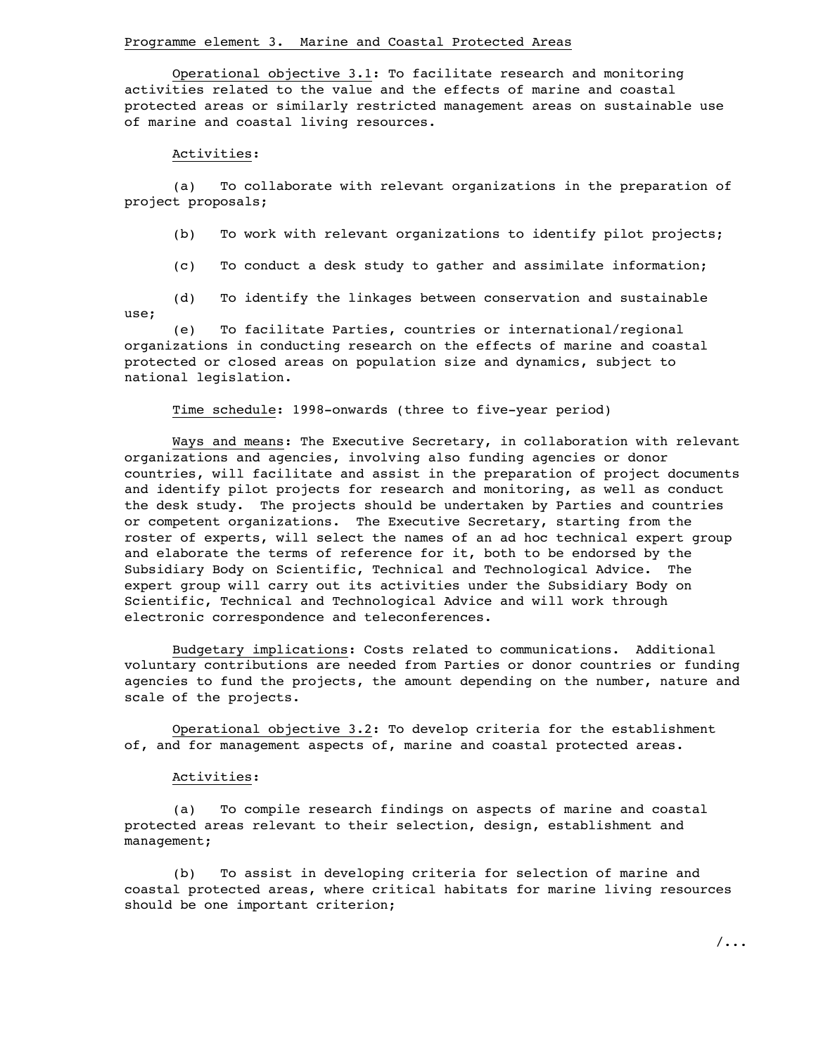Operational objective 3.1: To facilitate research and monitoring activities related to the value and the effects of marine and coastal protected areas or similarly restricted management areas on sustainable use of marine and coastal living resources.

#### Activities:

(a) To collaborate with relevant organizations in the preparation of project proposals;

(b) To work with relevant organizations to identify pilot projects;

(c) To conduct a desk study to gather and assimilate information;

(d) To identify the linkages between conservation and sustainable use;

(e) To facilitate Parties, countries or international/regional organizations in conducting research on the effects of marine and coastal protected or closed areas on population size and dynamics, subject to national legislation.

Time schedule: 1998-onwards (three to five-year period)

Ways and means: The Executive Secretary, in collaboration with relevant organizations and agencies, involving also funding agencies or donor countries, will facilitate and assist in the preparation of project documents and identify pilot projects for research and monitoring, as well as conduct the desk study. The projects should be undertaken by Parties and countries or competent organizations. The Executive Secretary, starting from the roster of experts, will select the names of an ad hoc technical expert group and elaborate the terms of reference for it, both to be endorsed by the Subsidiary Body on Scientific, Technical and Technological Advice. The expert group will carry out its activities under the Subsidiary Body on Scientific, Technical and Technological Advice and will work through electronic correspondence and teleconferences.

Budgetary implications: Costs related to communications. Additional voluntary contributions are needed from Parties or donor countries or funding agencies to fund the projects, the amount depending on the number, nature and scale of the projects.

Operational objective 3.2: To develop criteria for the establishment of, and for management aspects of, marine and coastal protected areas.

#### Activities:

(a) To compile research findings on aspects of marine and coastal protected areas relevant to their selection, design, establishment and management;

(b) To assist in developing criteria for selection of marine and coastal protected areas, where critical habitats for marine living resources should be one important criterion;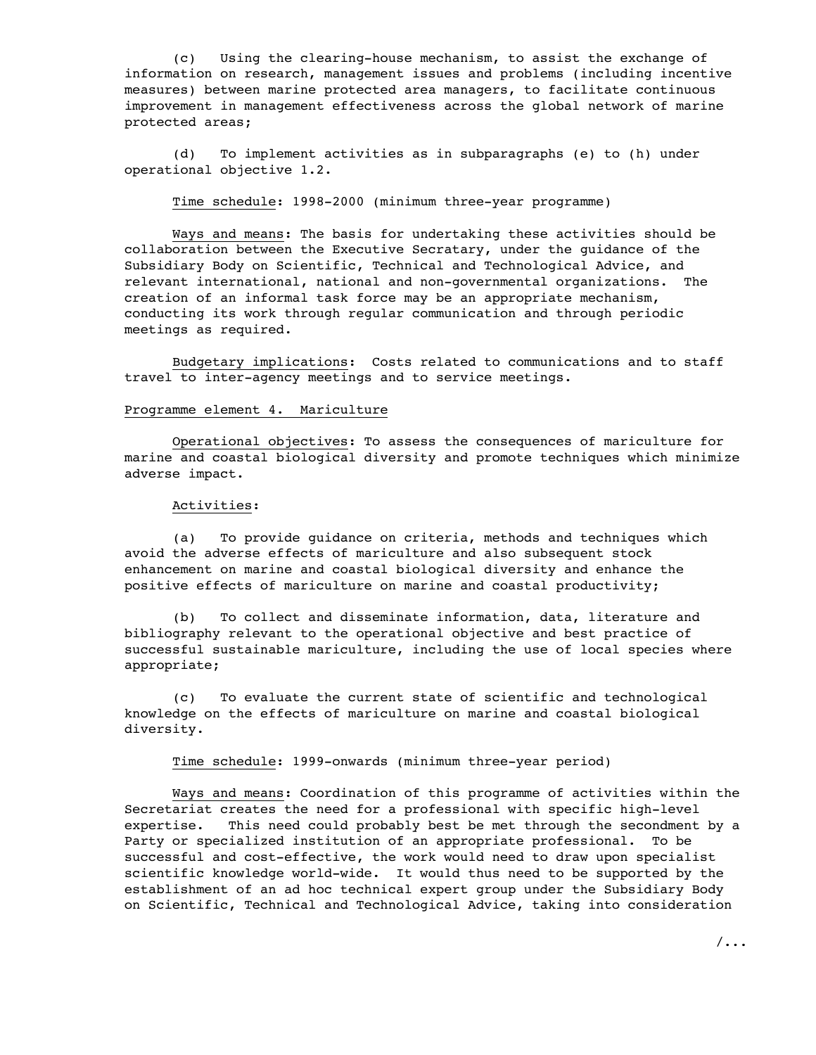(c) Using the clearing-house mechanism, to assist the exchange of information on research, management issues and problems (including incentive measures) between marine protected area managers, to facilitate continuous improvement in management effectiveness across the global network of marine protected areas;

(d) To implement activities as in subparagraphs (e) to (h) under operational objective 1.2.

Time schedule: 1998-2000 (minimum three-year programme)

Ways and means: The basis for undertaking these activities should be collaboration between the Executive Secratary, under the guidance of the Subsidiary Body on Scientific, Technical and Technological Advice, and relevant international, national and non-governmental organizations. The creation of an informal task force may be an appropriate mechanism, conducting its work through regular communication and through periodic meetings as required.

Budgetary implications: Costs related to communications and to staff travel to inter-agency meetings and to service meetings.

# Programme element 4. Mariculture

Operational objectives: To assess the consequences of mariculture for marine and coastal biological diversity and promote techniques which minimize adverse impact.

### Activities:

(a) To provide guidance on criteria, methods and techniques which avoid the adverse effects of mariculture and also subsequent stock enhancement on marine and coastal biological diversity and enhance the positive effects of mariculture on marine and coastal productivity;

(b) To collect and disseminate information, data, literature and bibliography relevant to the operational objective and best practice of successful sustainable mariculture, including the use of local species where appropriate;

(c) To evaluate the current state of scientific and technological knowledge on the effects of mariculture on marine and coastal biological diversity.

Time schedule: 1999-onwards (minimum three-year period)

Ways and means: Coordination of this programme of activities within the Secretariat creates the need for a professional with specific high-level expertise. This need could probably best be met through the secondment by a Party or specialized institution of an appropriate professional. To be successful and cost-effective, the work would need to draw upon specialist scientific knowledge world-wide. It would thus need to be supported by the establishment of an ad hoc technical expert group under the Subsidiary Body on Scientific, Technical and Technological Advice, taking into consideration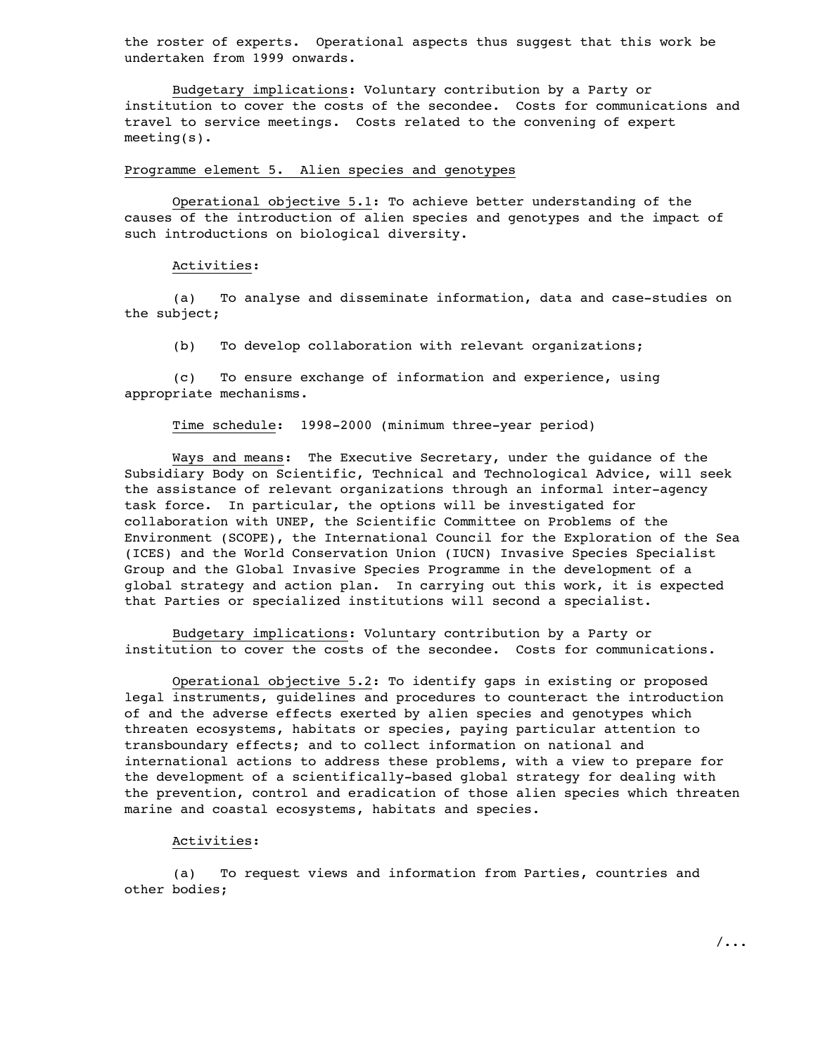the roster of experts. Operational aspects thus suggest that this work be undertaken from 1999 onwards.

Budgetary implications: Voluntary contribution by a Party or institution to cover the costs of the secondee. Costs for communications and travel to service meetings. Costs related to the convening of expert meeting(s).

# Programme element 5. Alien species and genotypes

Operational objective 5.1: To achieve better understanding of the causes of the introduction of alien species and genotypes and the impact of such introductions on biological diversity.

### Activities:

(a) To analyse and disseminate information, data and case-studies on the subject;

(b) To develop collaboration with relevant organizations;

(c) To ensure exchange of information and experience, using appropriate mechanisms.

Time schedule: 1998-2000 (minimum three-year period)

Ways and means: The Executive Secretary, under the guidance of the Subsidiary Body on Scientific, Technical and Technological Advice, will seek the assistance of relevant organizations through an informal inter-agency task force. In particular, the options will be investigated for collaboration with UNEP, the Scientific Committee on Problems of the Environment (SCOPE), the International Council for the Exploration of the Sea (ICES) and the World Conservation Union (IUCN) Invasive Species Specialist Group and the Global Invasive Species Programme in the development of a global strategy and action plan. In carrying out this work, it is expected that Parties or specialized institutions will second a specialist.

Budgetary implications: Voluntary contribution by a Party or institution to cover the costs of the secondee. Costs for communications.

Operational objective 5.2: To identify gaps in existing or proposed legal instruments, guidelines and procedures to counteract the introduction of and the adverse effects exerted by alien species and genotypes which threaten ecosystems, habitats or species, paying particular attention to transboundary effects; and to collect information on national and international actions to address these problems, with a view to prepare for the development of a scientifically-based global strategy for dealing with the prevention, control and eradication of those alien species which threaten marine and coastal ecosystems, habitats and species.

### Activities:

(a) To request views and information from Parties, countries and other bodies;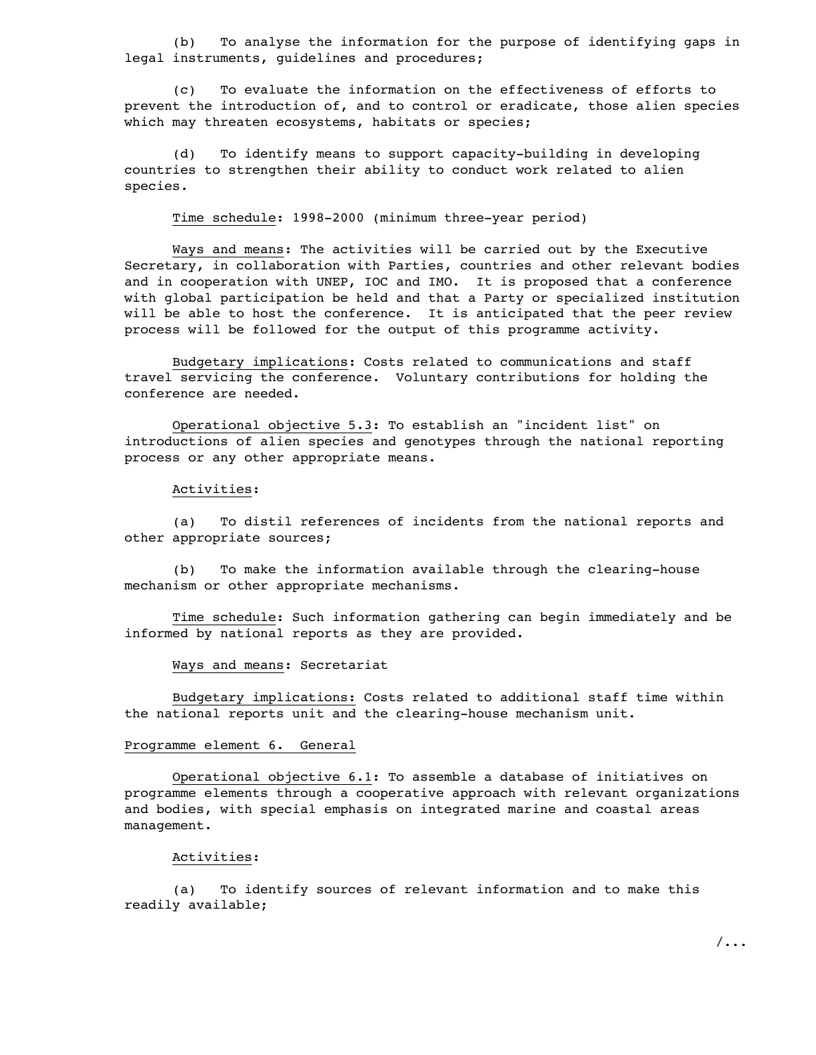(b) To analyse the information for the purpose of identifying gaps in legal instruments, guidelines and procedures;

(c) To evaluate the information on the effectiveness of efforts to prevent the introduction of, and to control or eradicate, those alien species which may threaten ecosystems, habitats or species;

(d) To identify means to support capacity-building in developing countries to strengthen their ability to conduct work related to alien species.

Time schedule: 1998-2000 (minimum three-year period)

Ways and means: The activities will be carried out by the Executive Secretary, in collaboration with Parties, countries and other relevant bodies and in cooperation with UNEP, IOC and IMO. It is proposed that a conference with global participation be held and that a Party or specialized institution will be able to host the conference. It is anticipated that the peer review process will be followed for the output of this programme activity.

Budgetary implications: Costs related to communications and staff travel servicing the conference. Voluntary contributions for holding the conference are needed.

Operational objective 5.3: To establish an "incident list" on introductions of alien species and genotypes through the national reporting process or any other appropriate means.

### Activities:

(a) To distil references of incidents from the national reports and other appropriate sources;

(b) To make the information available through the clearing-house mechanism or other appropriate mechanisms.

Time schedule: Such information gathering can begin immediately and be informed by national reports as they are provided.

### Ways and means: Secretariat

Budgetary implications: Costs related to additional staff time within the national reports unit and the clearing-house mechanism unit.

# Programme element 6. General

Operational objective 6.1: To assemble a database of initiatives on programme elements through a cooperative approach with relevant organizations and bodies, with special emphasis on integrated marine and coastal areas management.

#### Activities:

(a) To identify sources of relevant information and to make this readily available;